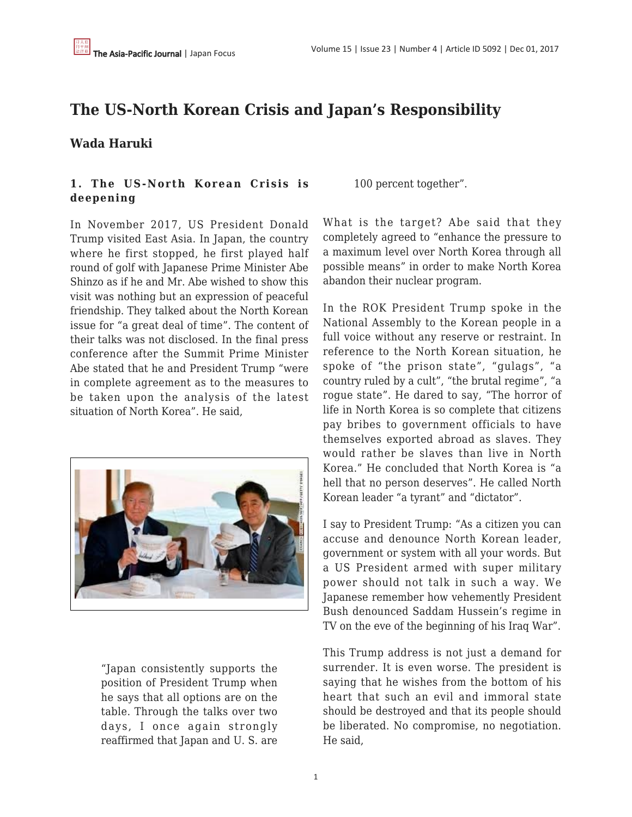# **The US-North Korean Crisis and Japan's Responsibility**

## **Wada Haruki**

## **1. The US-North Korean Crisis is deepening**

In November 2017, US President Donald Trump visited East Asia. In Japan, the country where he first stopped, he first played half round of golf with Japanese Prime Minister Abe Shinzo as if he and Mr. Abe wished to show this visit was nothing but an expression of peaceful friendship. They talked about the North Korean issue for "a great deal of time". The content of their talks was not disclosed. In the final press conference after the Summit Prime Minister Abe stated that he and President Trump "were in complete agreement as to the measures to be taken upon the analysis of the latest situation of North Korea". He said,



"Japan consistently supports the position of President Trump when he says that all options are on the table. Through the talks over two days, I once again strongly reaffirmed that Japan and U. S. are 100 percent together".

What is the target? Abe said that they completely agreed to "enhance the pressure to a maximum level over North Korea through all possible means" in order to make North Korea abandon their nuclear program.

In the ROK President Trump spoke in the National Assembly to the Korean people in a full voice without any reserve or restraint. In reference to the North Korean situation, he spoke of "the prison state", "gulags", "a country ruled by a cult", "the brutal regime", "a rogue state". He dared to say, "The horror of life in North Korea is so complete that citizens pay bribes to government officials to have themselves exported abroad as slaves. They would rather be slaves than live in North Korea." He concluded that North Korea is "a hell that no person deserves". He called North Korean leader "a tyrant" and "dictator".

I say to President Trump: "As a citizen you can accuse and denounce North Korean leader, government or system with all your words. But a US President armed with super military power should not talk in such a way. We Japanese remember how vehemently President Bush denounced Saddam Hussein's regime in TV on the eve of the beginning of his Iraq War".

This Trump address is not just a demand for surrender. It is even worse. The president is saying that he wishes from the bottom of his heart that such an evil and immoral state should be destroyed and that its people should be liberated. No compromise, no negotiation. He said,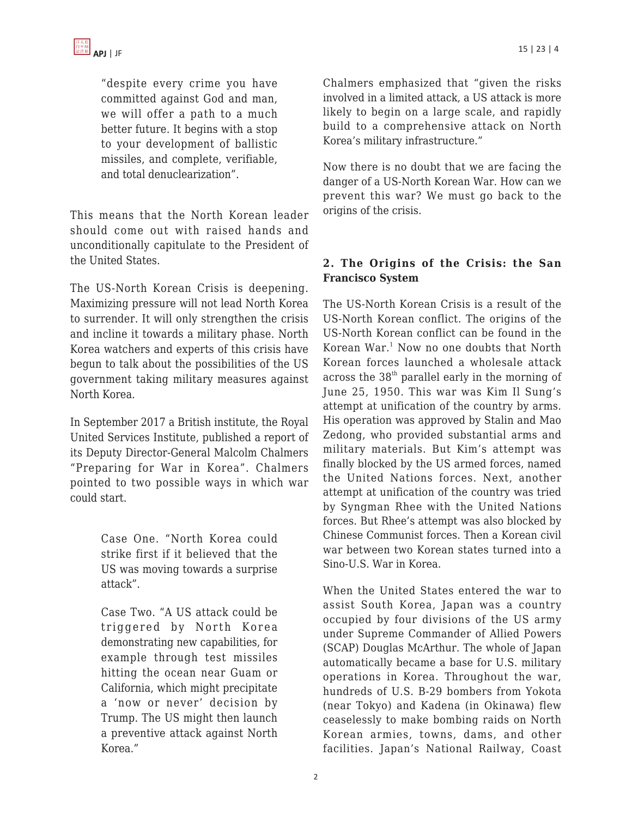

"despite every crime you have committed against God and man, we will offer a path to a much better future. It begins with a stop to your development of ballistic missiles, and complete, verifiable, and total denuclearization".

This means that the North Korean leader should come out with raised hands and unconditionally capitulate to the President of the United States.

The US-North Korean Crisis is deepening. Maximizing pressure will not lead North Korea to surrender. It will only strengthen the crisis and incline it towards a military phase. North Korea watchers and experts of this crisis have begun to talk about the possibilities of the US government taking military measures against North Korea.

In September 2017 a British institute, the Royal United Services Institute, published a report of its Deputy Director-General Malcolm Chalmers "Preparing for War in Korea". Chalmers pointed to two possible ways in which war could start.

> Case One. "North Korea could strike first if it believed that the US was moving towards a surprise attack".

Case Two. "A US attack could be triggered by North Korea demonstrating new capabilities, for example through test missiles hitting the ocean near Guam or California, which might precipitate a 'now or never' decision by Trump. The US might then launch a preventive attack against North Korea."

Chalmers emphasized that "given the risks involved in a limited attack, a US attack is more likely to begin on a large scale, and rapidly build to a comprehensive attack on North Korea's military infrastructure."

Now there is no doubt that we are facing the danger of a US-North Korean War. How can we prevent this war? We must go back to the origins of the crisis.

#### **2. The Origins of the Crisis: the San Francisco System**

The US-North Korean Crisis is a result of the US-North Korean conflict. The origins of the US-North Korean conflict can be found in the Korean War.<sup>1</sup> Now no one doubts that North Korean forces launched a wholesale attack across the  $38<sup>th</sup>$  parallel early in the morning of June 25, 1950. This war was Kim Il Sung's attempt at unification of the country by arms. His operation was approved by Stalin and Mao Zedong, who provided substantial arms and military materials. But Kim's attempt was finally blocked by the US armed forces, named the United Nations forces. Next, another attempt at unification of the country was tried by Syngman Rhee with the United Nations forces. But Rhee's attempt was also blocked by Chinese Communist forces. Then a Korean civil war between two Korean states turned into a Sino-U.S. War in Korea.

When the United States entered the war to assist South Korea, Japan was a country occupied by four divisions of the US army under Supreme Commander of Allied Powers (SCAP) Douglas McArthur. The whole of Japan automatically became a base for U.S. military operations in Korea. Throughout the war, hundreds of U.S. B-29 bombers from Yokota (near Tokyo) and Kadena (in Okinawa) flew ceaselessly to make bombing raids on North Korean armies, towns, dams, and other facilities. Japan's National Railway, Coast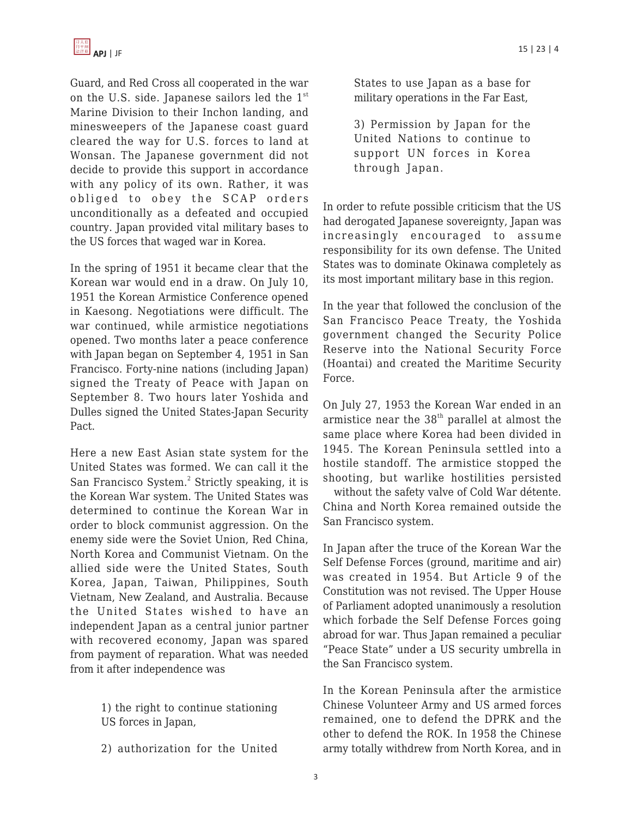

Guard, and Red Cross all cooperated in the war on the U.S. side. Japanese sailors led the 1<sup>st</sup> Marine Division to their Inchon landing, and minesweepers of the Japanese coast guard cleared the way for U.S. forces to land at Wonsan. The Japanese government did not decide to provide this support in accordance with any policy of its own. Rather, it was obliged to obey the SCAP orders unconditionally as a defeated and occupied country. Japan provided vital military bases to the US forces that waged war in Korea.

In the spring of 1951 it became clear that the Korean war would end in a draw. On July 10, 1951 the Korean Armistice Conference opened in Kaesong. Negotiations were difficult. The war continued, while armistice negotiations opened. Two months later a peace conference with Japan began on September 4, 1951 in San Francisco. Forty-nine nations (including Japan) signed the Treaty of Peace with Japan on September 8. Two hours later Yoshida and Dulles signed the United States-Japan Security Pact.

Here a new East Asian state system for the United States was formed. We can call it the San Francisco System.<sup>2</sup> Strictly speaking, it is the Korean War system. The United States was determined to continue the Korean War in order to block communist aggression. On the enemy side were the Soviet Union, Red China, North Korea and Communist Vietnam. On the allied side were the United States, South Korea, Japan, Taiwan, Philippines, South Vietnam, New Zealand, and Australia. Because the United States wished to have an independent Japan as a central junior partner with recovered economy, Japan was spared from payment of reparation. What was needed from it after independence was

> 1) the right to continue stationing US forces in Japan,

> 2) authorization for the United

States to use Japan as a base for military operations in the Far East,

3) Permission by Japan for the United Nations to continue to support UN forces in Korea through Japan.

In order to refute possible criticism that the US had derogated Japanese sovereignty, Japan was increasingly encouraged to assume responsibility for its own defense. The United States was to dominate Okinawa completely as its most important military base in this region.

In the year that followed the conclusion of the San Francisco Peace Treaty, the Yoshida government changed the Security Police Reserve into the National Security Force (Hoantai) and created the Maritime Security Force.

On July 27, 1953 the Korean War ended in an armistice near the  $38<sup>th</sup>$  parallel at almost the same place where Korea had been divided in 1945. The Korean Peninsula settled into a hostile standoff. The armistice stopped the shooting, but warlike hostilities persisted

without the safety valve of Cold War détente. China and North Korea remained outside the San Francisco system.

In Japan after the truce of the Korean War the Self Defense Forces (ground, maritime and air) was created in 1954. But Article 9 of the Constitution was not revised. The Upper House of Parliament adopted unanimously a resolution which forbade the Self Defense Forces going abroad for war. Thus Japan remained a peculiar "Peace State" under a US security umbrella in the San Francisco system.

In the Korean Peninsula after the armistice Chinese Volunteer Army and US armed forces remained, one to defend the DPRK and the other to defend the ROK. In 1958 the Chinese army totally withdrew from North Korea, and in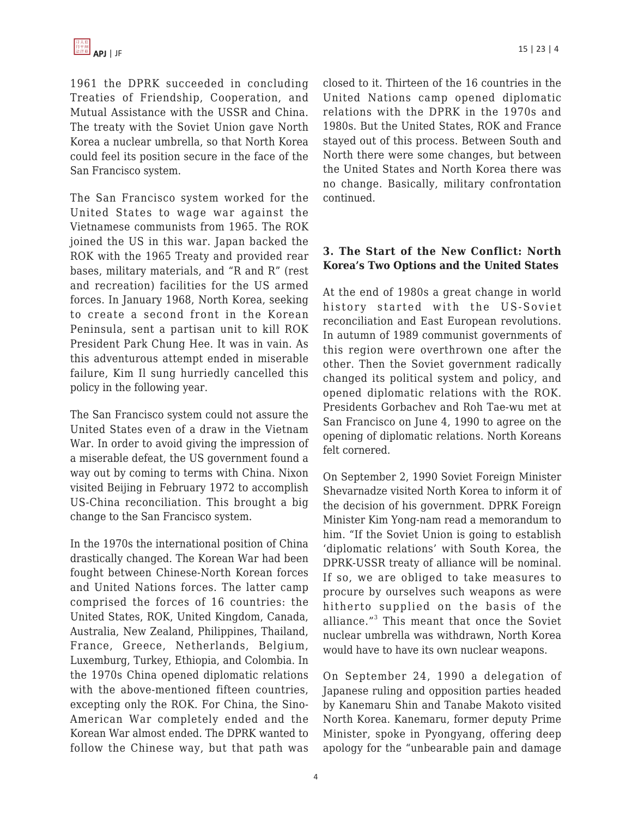1961 the DPRK succeeded in concluding Treaties of Friendship, Cooperation, and Mutual Assistance with the USSR and China. The treaty with the Soviet Union gave North Korea a nuclear umbrella, so that North Korea could feel its position secure in the face of the San Francisco system.

The San Francisco system worked for the United States to wage war against the Vietnamese communists from 1965. The ROK joined the US in this war. Japan backed the ROK with the 1965 Treaty and provided rear bases, military materials, and "R and R" (rest and recreation) facilities for the US armed forces. In January 1968, North Korea, seeking to create a second front in the Korean Peninsula, sent a partisan unit to kill ROK President Park Chung Hee. It was in vain. As this adventurous attempt ended in miserable failure, Kim Il sung hurriedly cancelled this policy in the following year.

The San Francisco system could not assure the United States even of a draw in the Vietnam War. In order to avoid giving the impression of a miserable defeat, the US government found a way out by coming to terms with China. Nixon visited Beijing in February 1972 to accomplish US-China reconciliation. This brought a big change to the San Francisco system.

In the 1970s the international position of China drastically changed. The Korean War had been fought between Chinese-North Korean forces and United Nations forces. The latter camp comprised the forces of 16 countries: the United States, ROK, United Kingdom, Canada, Australia, New Zealand, Philippines, Thailand, France, Greece, Netherlands, Belgium, Luxemburg, Turkey, Ethiopia, and Colombia. In the 1970s China opened diplomatic relations with the above-mentioned fifteen countries, excepting only the ROK. For China, the Sino-American War completely ended and the Korean War almost ended. The DPRK wanted to follow the Chinese way, but that path was closed to it. Thirteen of the 16 countries in the United Nations camp opened diplomatic relations with the DPRK in the 1970s and 1980s. But the United States, ROK and France stayed out of this process. Between South and North there were some changes, but between the United States and North Korea there was no change. Basically, military confrontation continued.

#### **3. The Start of the New Conflict: North Korea's Two Options and the United States**

At the end of 1980s a great change in world history started with the US-Soviet reconciliation and East European revolutions. In autumn of 1989 communist governments of this region were overthrown one after the other. Then the Soviet government radically changed its political system and policy, and opened diplomatic relations with the ROK. Presidents Gorbachev and Roh Tae-wu met at San Francisco on June 4, 1990 to agree on the opening of diplomatic relations. North Koreans felt cornered.

On September 2, 1990 Soviet Foreign Minister Shevarnadze visited North Korea to inform it of the decision of his government. DPRK Foreign Minister Kim Yong-nam read a memorandum to him. "If the Soviet Union is going to establish 'diplomatic relations' with South Korea, the DPRK-USSR treaty of alliance will be nominal. If so, we are obliged to take measures to procure by ourselves such weapons as were hitherto supplied on the basis of the alliance."<sup>3</sup> This meant that once the Soviet nuclear umbrella was withdrawn, North Korea would have to have its own nuclear weapons.

On September 24, 1990 a delegation of Japanese ruling and opposition parties headed by Kanemaru Shin and Tanabe Makoto visited North Korea. Kanemaru, former deputy Prime Minister, spoke in Pyongyang, offering deep apology for the "unbearable pain and damage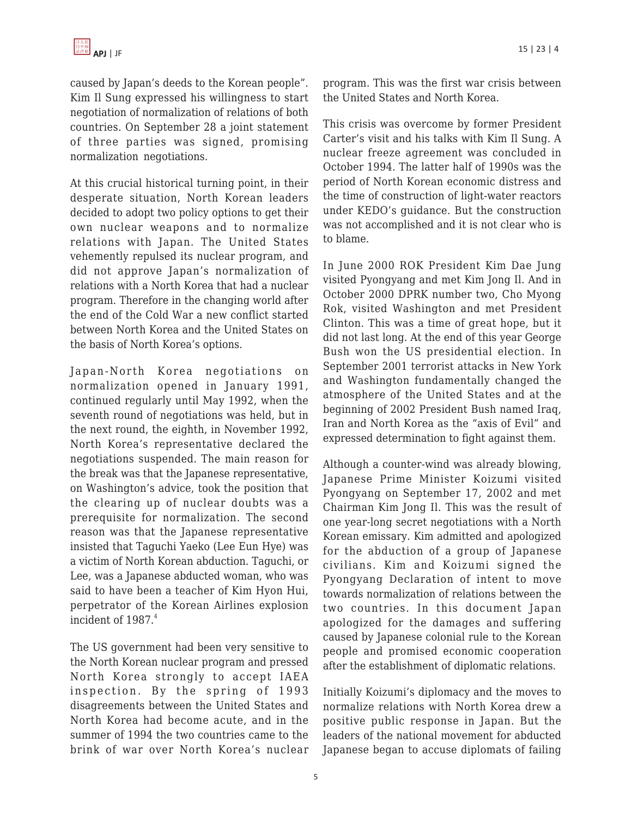caused by Japan's deeds to the Korean people". Kim Il Sung expressed his willingness to start negotiation of normalization of relations of both countries. On September 28 a joint statement of three parties was signed, promising normalization negotiations.

At this crucial historical turning point, in their desperate situation, North Korean leaders decided to adopt two policy options to get their own nuclear weapons and to normalize relations with Japan. The United States vehemently repulsed its nuclear program, and did not approve Japan's normalization of relations with a North Korea that had a nuclear program. Therefore in the changing world after the end of the Cold War a new conflict started between North Korea and the United States on the basis of North Korea's options.

Japan-North Korea negotiations on normalization opened in January 1991, continued regularly until May 1992, when the seventh round of negotiations was held, but in the next round, the eighth, in November 1992, North Korea's representative declared the negotiations suspended. The main reason for the break was that the Japanese representative, on Washington's advice, took the position that the clearing up of nuclear doubts was a prerequisite for normalization. The second reason was that the Japanese representative insisted that Taguchi Yaeko (Lee Eun Hye) was a victim of North Korean abduction. Taguchi, or Lee, was a Japanese abducted woman, who was said to have been a teacher of Kim Hyon Hui, perpetrator of the Korean Airlines explosion incident of  $1987<sup>4</sup>$ 

The US government had been very sensitive to the North Korean nuclear program and pressed North Korea strongly to accept IAEA inspection. By the spring of 1993 disagreements between the United States and North Korea had become acute, and in the summer of 1994 the two countries came to the brink of war over North Korea's nuclear program. This was the first war crisis between the United States and North Korea.

This crisis was overcome by former President Carter's visit and his talks with Kim Il Sung. A nuclear freeze agreement was concluded in October 1994. The latter half of 1990s was the period of North Korean economic distress and the time of construction of light-water reactors under KEDO's guidance. But the construction was not accomplished and it is not clear who is to blame.

In June 2000 ROK President Kim Dae Jung visited Pyongyang and met Kim Jong Il. And in October 2000 DPRK number two, Cho Myong Rok, visited Washington and met President Clinton. This was a time of great hope, but it did not last long. At the end of this year George Bush won the US presidential election. In September 2001 terrorist attacks in New York and Washington fundamentally changed the atmosphere of the United States and at the beginning of 2002 President Bush named Iraq, Iran and North Korea as the "axis of Evil" and expressed determination to fight against them.

Although a counter-wind was already blowing, Japanese Prime Minister Koizumi visited Pyongyang on September 17, 2002 and met Chairman Kim Jong Il. This was the result of one year-long secret negotiations with a North Korean emissary. Kim admitted and apologized for the abduction of a group of Japanese civilians. Kim and Koizumi signed the Pyongyang Declaration of intent to move towards normalization of relations between the two countries. In this document Japan apologized for the damages and suffering caused by Japanese colonial rule to the Korean people and promised economic cooperation after the establishment of diplomatic relations.

Initially Koizumi's diplomacy and the moves to normalize relations with North Korea drew a positive public response in Japan. But the leaders of the national movement for abducted Japanese began to accuse diplomats of failing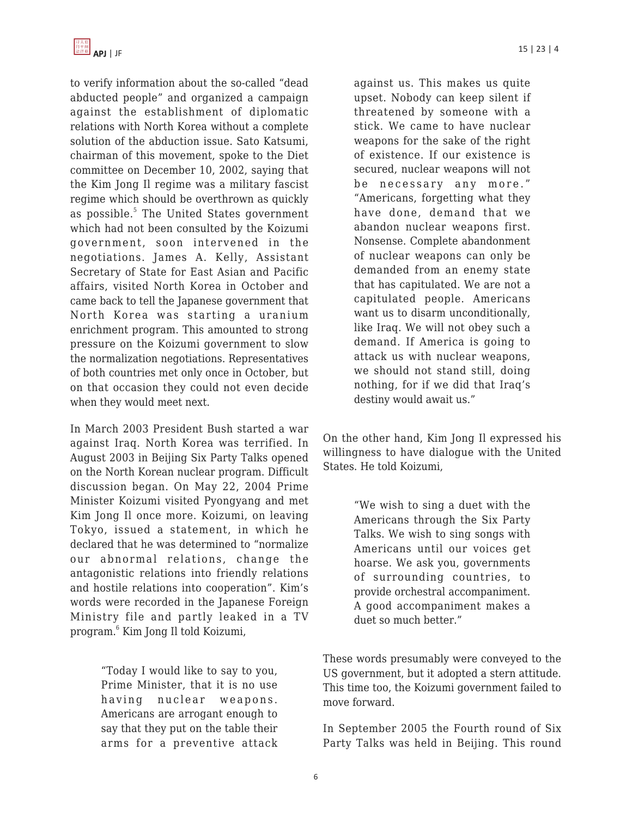to verify information about the so-called "dead abducted people" and organized a campaign against the establishment of diplomatic relations with North Korea without a complete solution of the abduction issue. Sato Katsumi, chairman of this movement, spoke to the Diet committee on December 10, 2002, saying that the Kim Jong Il regime was a military fascist regime which should be overthrown as quickly as possible.<sup>5</sup> The United States government which had not been consulted by the Koizumi government, soon intervened in the negotiations. James A. Kelly, Assistant Secretary of State for East Asian and Pacific affairs, visited North Korea in October and came back to tell the Japanese government that North Korea was starting a uranium enrichment program. This amounted to strong pressure on the Koizumi government to slow the normalization negotiations. Representatives of both countries met only once in October, but on that occasion they could not even decide when they would meet next.

In March 2003 President Bush started a war against Iraq. North Korea was terrified. In August 2003 in Beijing Six Party Talks opened on the North Korean nuclear program. Difficult discussion began. On May 22, 2004 Prime Minister Koizumi visited Pyongyang and met Kim Jong Il once more. Koizumi, on leaving Tokyo, issued a statement, in which he declared that he was determined to "normalize our abnormal relations, change the antagonistic relations into friendly relations and hostile relations into cooperation". Kim's words were recorded in the Japanese Foreign Ministry file and partly leaked in a TV program.<sup>6</sup> Kim Jong Il told Koizumi,

> "Today I would like to say to you, Prime Minister, that it is no use having nuclear weapons. Americans are arrogant enough to say that they put on the table their arms for a preventive attack

against us. This makes us quite upset. Nobody can keep silent if threatened by someone with a stick. We came to have nuclear weapons for the sake of the right of existence. If our existence is secured, nuclear weapons will not be necessary any more." "Americans, forgetting what they have done, demand that we abandon nuclear weapons first. Nonsense. Complete abandonment of nuclear weapons can only be demanded from an enemy state that has capitulated. We are not a capitulated people. Americans want us to disarm unconditionally, like Iraq. We will not obey such a demand. If America is going to attack us with nuclear weapons, we should not stand still, doing nothing, for if we did that Iraq's destiny would await us."

On the other hand, Kim Jong Il expressed his willingness to have dialogue with the United States. He told Koizumi,

> "We wish to sing a duet with the Americans through the Six Party Talks. We wish to sing songs with Americans until our voices get hoarse. We ask you, governments of surrounding countries, to provide orchestral accompaniment. A good accompaniment makes a duet so much better."

These words presumably were conveyed to the US government, but it adopted a stern attitude. This time too, the Koizumi government failed to move forward.

In September 2005 the Fourth round of Six Party Talks was held in Beijing. This round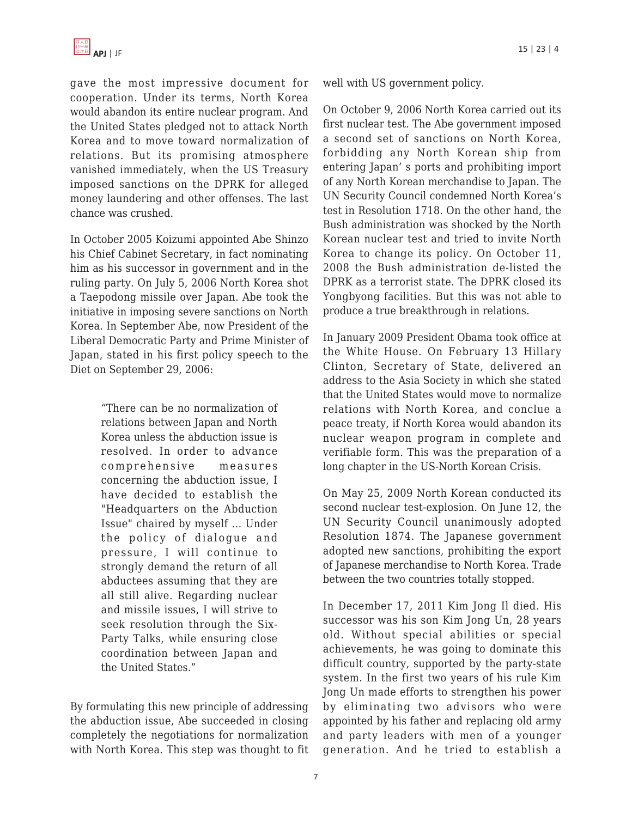gave the most impressive document for cooperation. Under its terms, North Korea would abandon its entire nuclear program. And the United States pledged not to attack North Korea and to move toward normalization of relations. But its promising atmosphere vanished immediately, when the US Treasury imposed sanctions on the DPRK for alleged money laundering and other offenses. The last chance was crushed.

In October 2005 Koizumi appointed Abe Shinzo his Chief Cabinet Secretary, in fact nominating him as his successor in government and in the ruling party. On July 5, 2006 North Korea shot a Taepodong missile over Japan. Abe took the initiative in imposing severe sanctions on North Korea. In September Abe, now President of the Liberal Democratic Party and Prime Minister of Japan, stated in his first policy speech to the Diet on September 29, 2006:

> "There can be no normalization of relations between Japan and North Korea unless the abduction issue is resolved. In order to advance comprehensive measures concerning the abduction issue, I have decided to establish the "Headquarters on the Abduction Issue" chaired by myself … Under the policy of dialogue and pressure, I will continue to strongly demand the return of all abductees assuming that they are all still alive. Regarding nuclear and missile issues, I will strive to seek resolution through the Six-Party Talks, while ensuring close coordination between Japan and the United States."

By formulating this new principle of addressing the abduction issue, Abe succeeded in closing completely the negotiations for normalization with North Korea. This step was thought to fit well with US government policy.

On October 9, 2006 North Korea carried out its first nuclear test. The Abe government imposed a second set of sanctions on North Korea, forbidding any North Korean ship from entering Japan' s ports and prohibiting import of any North Korean merchandise to Japan. The UN Security Council condemned North Korea's test in Resolution 1718. On the other hand, the Bush administration was shocked by the North Korean nuclear test and tried to invite North Korea to change its policy. On October 11, 2008 the Bush administration de-listed the DPRK as a terrorist state. The DPRK closed its Yongbyong facilities. But this was not able to produce a true breakthrough in relations.

In January 2009 President Obama took office at the White House. On February 13 Hillary Clinton, Secretary of State, delivered an address to the Asia Society in which she stated that the United States would move to normalize relations with North Korea, and conclue a peace treaty, if North Korea would abandon its nuclear weapon program in complete and verifiable form. This was the preparation of a long chapter in the US-North Korean Crisis.

On May 25, 2009 North Korean conducted its second nuclear test-explosion. On June 12, the UN Security Council unanimously adopted Resolution 1874. The Japanese government adopted new sanctions, prohibiting the export of Japanese merchandise to North Korea. Trade between the two countries totally stopped.

In December 17, 2011 Kim Jong Il died. His successor was his son Kim Jong Un, 28 years old. Without special abilities or special achievements, he was going to dominate this difficult country, supported by the party-state system. In the first two years of his rule Kim Jong Un made efforts to strengthen his power by eliminating two advisors who were appointed by his father and replacing old army and party leaders with men of a younger generation. And he tried to establish a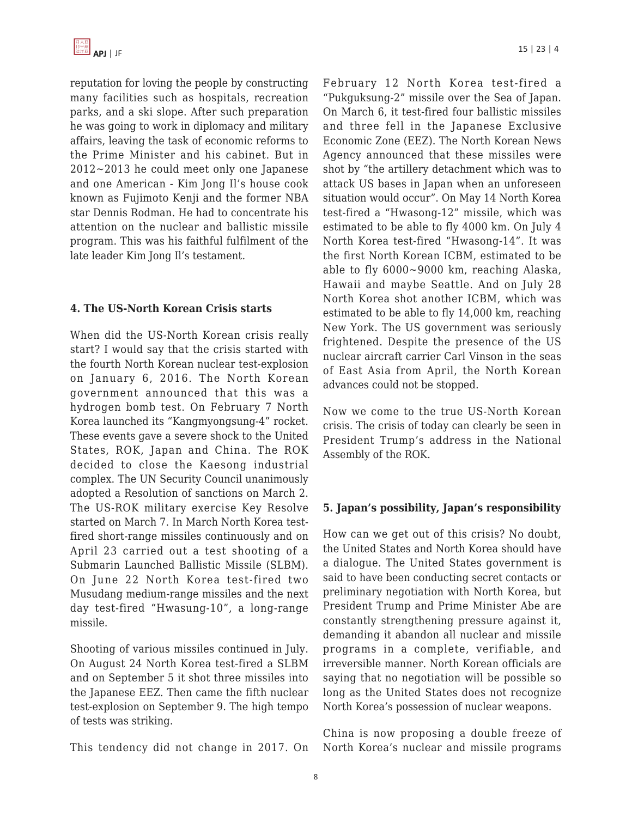reputation for loving the people by constructing many facilities such as hospitals, recreation parks, and a ski slope. After such preparation he was going to work in diplomacy and military affairs, leaving the task of economic reforms to the Prime Minister and his cabinet. But in 2012~2013 he could meet only one Japanese and one American - Kim Jong Il's house cook known as Fujimoto Kenji and the former NBA star Dennis Rodman. He had to concentrate his attention on the nuclear and ballistic missile program. This was his faithful fulfilment of the late leader Kim Jong Il's testament.

#### **4. The US-North Korean Crisis starts**

When did the US-North Korean crisis really start? I would say that the crisis started with the fourth North Korean nuclear test-explosion on January 6, 2016. The North Korean government announced that this was a hydrogen bomb test. On February 7 North Korea launched its "Kangmyongsung-4" rocket. These events gave a severe shock to the United States, ROK, Japan and China. The ROK decided to close the Kaesong industrial complex. The UN Security Council unanimously adopted a Resolution of sanctions on March 2. The US-ROK military exercise Key Resolve started on March 7. In March North Korea testfired short-range missiles continuously and on April 23 carried out a test shooting of a Submarin Launched Ballistic Missile (SLBM). On June 22 North Korea test-fired two Musudang medium-range missiles and the next day test-fired "Hwasung-10", a long-range missile.

Shooting of various missiles continued in July. On August 24 North Korea test-fired a SLBM and on September 5 it shot three missiles into the Japanese EEZ. Then came the fifth nuclear test-explosion on September 9. The high tempo of tests was striking.

This tendency did not change in 2017. On

February 12 North Korea test-fired a "Pukguksung-2" missile over the Sea of Japan. On March 6, it test-fired four ballistic missiles and three fell in the Japanese Exclusive Economic Zone (EEZ). The North Korean News Agency announced that these missiles were shot by "the artillery detachment which was to attack US bases in Japan when an unforeseen situation would occur". On May 14 North Korea test-fired a "Hwasong-12" missile, which was estimated to be able to fly 4000 km. On July 4 North Korea test-fired "Hwasong-14". It was the first North Korean ICBM, estimated to be able to fly 6000~9000 km, reaching Alaska, Hawaii and maybe Seattle. And on July 28 North Korea shot another ICBM, which was estimated to be able to fly 14,000 km, reaching New York. The US government was seriously frightened. Despite the presence of the US nuclear aircraft carrier Carl Vinson in the seas of East Asia from April, the North Korean advances could not be stopped.

Now we come to the true US-North Korean crisis. The crisis of today can clearly be seen in President Trump's address in the National Assembly of the ROK.

#### **5. Japan's possibility, Japan's responsibility**

How can we get out of this crisis? No doubt, the United States and North Korea should have a dialogue. The United States government is said to have been conducting secret contacts or preliminary negotiation with North Korea, but President Trump and Prime Minister Abe are constantly strengthening pressure against it, demanding it abandon all nuclear and missile programs in a complete, verifiable, and irreversible manner. North Korean officials are saying that no negotiation will be possible so long as the United States does not recognize North Korea's possession of nuclear weapons.

China is now proposing a double freeze of North Korea's nuclear and missile programs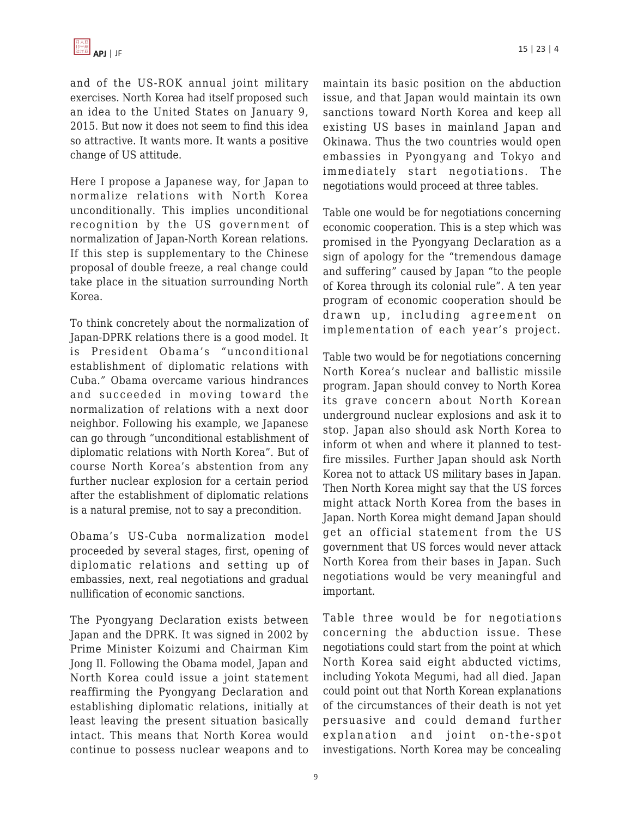and of the US-ROK annual joint military exercises. North Korea had itself proposed such an idea to the United States on January 9, 2015. But now it does not seem to find this idea so attractive. It wants more. It wants a positive change of US attitude.

Here I propose a Japanese way, for Japan to normalize relations with North Korea unconditionally. This implies unconditional recognition by the US government of normalization of Japan-North Korean relations. If this step is supplementary to the Chinese proposal of double freeze, a real change could take place in the situation surrounding North Korea.

To think concretely about the normalization of Japan-DPRK relations there is a good model. It is President Obama's "unconditional establishment of diplomatic relations with Cuba." Obama overcame various hindrances and succeeded in moving toward the normalization of relations with a next door neighbor. Following his example, we Japanese can go through "unconditional establishment of diplomatic relations with North Korea". But of course North Korea's abstention from any further nuclear explosion for a certain period after the establishment of diplomatic relations is a natural premise, not to say a precondition.

Obama's US-Cuba normalization model proceeded by several stages, first, opening of diplomatic relations and setting up of embassies, next, real negotiations and gradual nullification of economic sanctions.

The Pyongyang Declaration exists between Japan and the DPRK. It was signed in 2002 by Prime Minister Koizumi and Chairman Kim Jong Il. Following the Obama model, Japan and North Korea could issue a joint statement reaffirming the Pyongyang Declaration and establishing diplomatic relations, initially at least leaving the present situation basically intact. This means that North Korea would continue to possess nuclear weapons and to maintain its basic position on the abduction issue, and that Japan would maintain its own sanctions toward North Korea and keep all existing US bases in mainland Japan and Okinawa. Thus the two countries would open embassies in Pyongyang and Tokyo and immediately start negotiations. The negotiations would proceed at three tables.

Table one would be for negotiations concerning economic cooperation. This is a step which was promised in the Pyongyang Declaration as a sign of apology for the "tremendous damage and suffering" caused by Japan "to the people of Korea through its colonial rule". A ten year program of economic cooperation should be drawn up, including agreement on implementation of each year's project.

Table two would be for negotiations concerning North Korea's nuclear and ballistic missile program. Japan should convey to North Korea its grave concern about North Korean underground nuclear explosions and ask it to stop. Japan also should ask North Korea to inform ot when and where it planned to testfire missiles. Further Japan should ask North Korea not to attack US military bases in Japan. Then North Korea might say that the US forces might attack North Korea from the bases in Japan. North Korea might demand Japan should get an official statement from the US government that US forces would never attack North Korea from their bases in Japan. Such negotiations would be very meaningful and important.

Table three would be for negotiations concerning the abduction issue. These negotiations could start from the point at which North Korea said eight abducted victims, including Yokota Megumi, had all died. Japan could point out that North Korean explanations of the circumstances of their death is not yet persuasive and could demand further explanation and joint on-the-spot investigations. North Korea may be concealing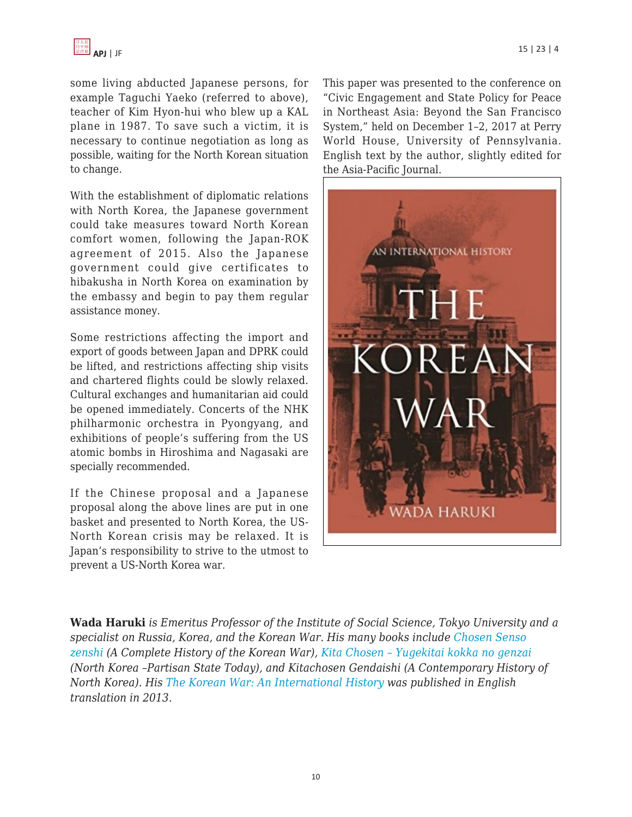some living abducted Japanese persons, for example Taguchi Yaeko (referred to above), teacher of Kim Hyon-hui who blew up a KAL plane in 1987. To save such a victim, it is necessary to continue negotiation as long as possible, waiting for the North Korean situation to change.

With the establishment of diplomatic relations with North Korea, the Japanese government could take measures toward North Korean comfort women, following the Japan-ROK agreement of 2015. Also the Japanese government could give certificates to hibakusha in North Korea on examination by the embassy and begin to pay them regular assistance money.

Some restrictions affecting the import and export of goods between Japan and DPRK could be lifted, and restrictions affecting ship visits and chartered flights could be slowly relaxed. Cultural exchanges and humanitarian aid could be opened immediately. Concerts of the NHK philharmonic orchestra in Pyongyang, and exhibitions of people's suffering from the US atomic bombs in Hiroshima and Nagasaki are specially recommended.

If the Chinese proposal and a Japanese proposal along the above lines are put in one basket and presented to North Korea, the US-North Korean crisis may be relaxed. It is Japan's responsibility to strive to the utmost to prevent a US-North Korea war.

This paper was presented to the conference on "Civic Engagement and State Policy for Peace in Northeast Asia: Beyond the San Francisco System," held on December 1–2, 2017 at Perry World House, University of Pennsylvania. English text by the author, slightly edited for the Asia-Pacific Journal.



**Wada Haruki** *is Emeritus Professor of the Institute of Social Science, Tokyo University and a specialist on Russia, Korea, and the Korean War. His many books include [Chosen Senso](https://www.amazon.com/dp/4000238094/?tag=theasipacjo0b-20) [zenshi](https://www.amazon.com/dp/4000238094/?tag=theasipacjo0b-20) (A Complete History of the Korean War), [Kita Chosen – Yugekitai kokka no genzai](https://www.amazon.com/dp/4000027662/?tag=theasipacjo0b-20) (North Korea –Partisan State Today), and Kitachosen Gendaishi (A Contemporary History of North Korea). His [The Korean War: An International History](https://www.amazon.com/dp/B00GVY8WXQ/?tag=theasipacjo0b-20) was published in English translation in 2013.*